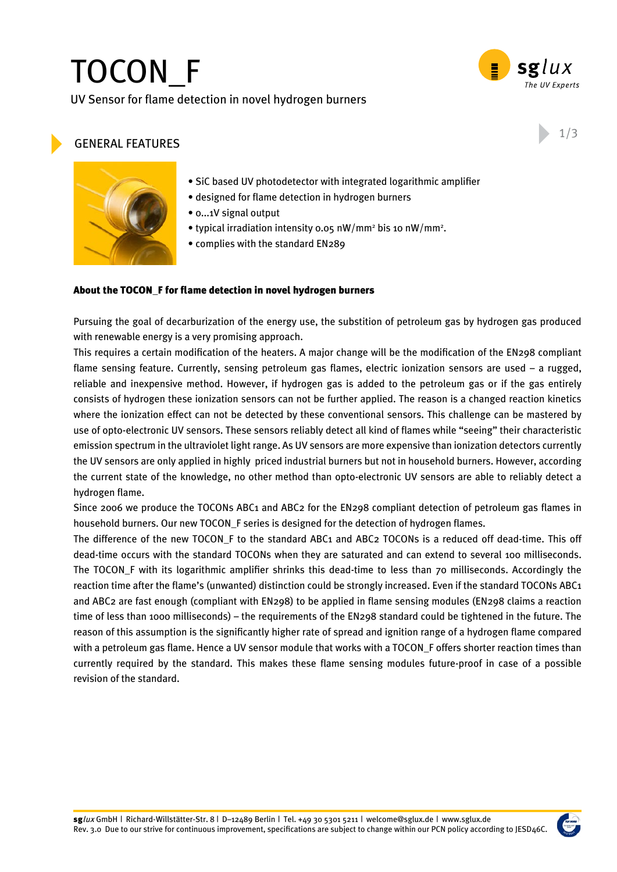# TOCON\_F

UV Sensor for flame detection in novel hydrogen burners



### general features

1/3



- SiC based UV photodetector with integrated logarithmic amplifier
- designed for flame detection in hydrogen burners
- 0...1V signal output
- typical irradiation intensity 0.05 nW/mm<sup>2</sup> bis 10 nW/mm<sup>2</sup>.
- complies with the standard EN289

#### About the TOCON\_F for flame detection in novel hydrogen burners

Pursuing the goal of decarburization of the energy use, the substition of petroleum gas by hydrogen gas produced with renewable energy is a very promising approach.

This requires a certain modification of the heaters. A major change will be the modification of the EN298 compliant flame sensing feature. Currently, sensing petroleum gas flames, electric ionization sensors are used – a rugged, reliable and inexpensive method. However, if hydrogen gas is added to the petroleum gas or if the gas entirely consists of hydrogen these ionization sensors can not be further applied. The reason is a changed reaction kinetics where the ionization effect can not be detected by these conventional sensors. This challenge can be mastered by use of opto-electronic UV sensors. These sensors reliably detect all kind of flames while "seeing" their characteristic emission spectrum in the ultraviolet light range. As UV sensors are more expensive than ionization detectors currently the UV sensors are only applied in highly priced industrial burners but not in household burners. However, according the current state of the knowledge, no other method than opto-electronic UV sensors are able to reliably detect a hydrogen flame.

Since 2006 we produce the TOCONs ABC1 and ABC2 for the EN298 compliant detection of petroleum gas flames in household burners. Our new TOCON\_F series is designed for the detection of hydrogen flames.

The difference of the new TOCON F to the standard ABC1 and ABC2 TOCONs is a reduced off dead-time. This off dead-time occurs with the standard TOCONs when they are saturated and can extend to several 100 milliseconds. The TOCON\_F with its logarithmic amplifier shrinks this dead-time to less than 70 milliseconds. Accordingly the reaction time after the flame's (unwanted) distinction could be strongly increased. Even if the standard TOCONs ABC1 and ABC2 are fast enough (compliant with EN298) to be applied in flame sensing modules (EN298 claims a reaction time of less than 1000 milliseconds) – the requirements of the EN298 standard could be tightened in the future. The reason of this assumption is the significantly higher rate of spread and ignition range of a hydrogen flame compared with a petroleum gas flame. Hence a UV sensor module that works with a TOCON\_F offers shorter reaction times than currently required by the standard. This makes these flame sensing modules future-proof in case of a possible revision of the standard.

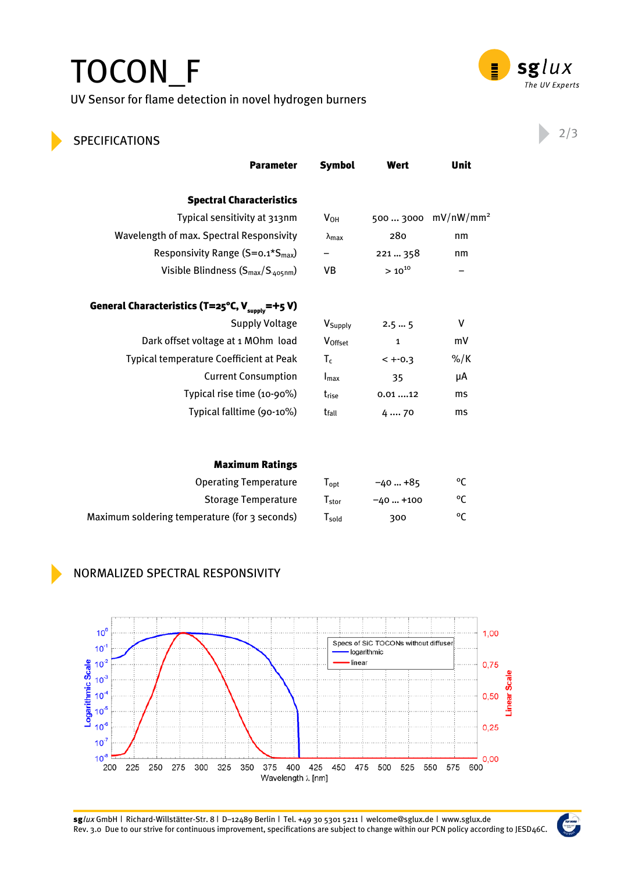## TOCON\_F UV Sensor for flame detection in novel hydrogen burners



## **SPECIFICATIONS** 2/3

| <b>Symbol</b>             | Wert               | Unit                  |
|---------------------------|--------------------|-----------------------|
|                           |                    |                       |
| V <sub>OH</sub>           | 500  3000          | mV/nW/mm <sup>2</sup> |
| $\lambda$ max             | 280                | nm                    |
|                           | 221  358           | nm                    |
| VB                        | $> 10^{10}$        |                       |
|                           |                    |                       |
| V <sub>Supply</sub>       | 2.55               | ۷                     |
| Voffset                   | $\mathbf{1}$       | mV                    |
| $T_c$                     | $< + -0.3$         | $\frac{9}{6}$ K       |
| $\mathsf{I}_{\text{max}}$ | 35                 | μA                    |
| t <sub>rise</sub>         | 0.0112             | ms                    |
| t <sub>fall</sub>         | 4  70              | ms                    |
|                           |                    |                       |
|                           |                    |                       |
|                           | $-40+85$           | °C                    |
|                           |                    | °C                    |
| $T_{\text{gold}}$         | 300                | °C                    |
|                           | Topt<br>$T_{stor}$ | $-40+100$             |



### Normalized Spectral Responsivity



sglux GmbH | Richard-Willstätter-Str. 8 | D–12489 Berlin | Tel. +49 30 5301 5211 | welcome@sglux.de | www.sglux.de Rev. 3.0 Due to our strive for continuous improvement, specifications are subject to change within our PCN policy according to JESD46C.